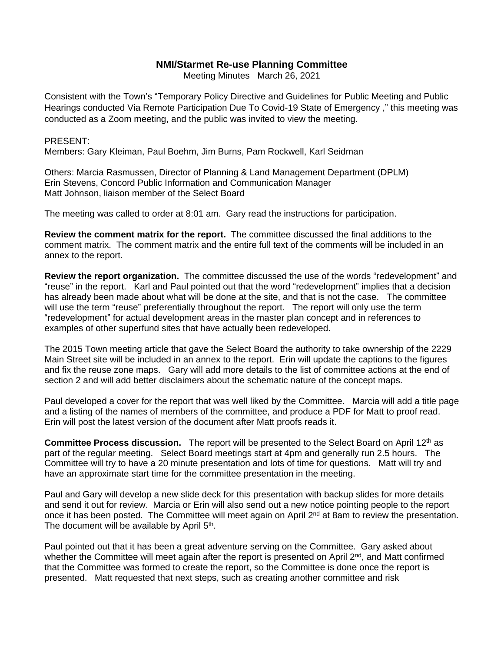## **NMI/Starmet Re-use Planning Committee**

Meeting Minutes March 26, 2021

Consistent with the Town's "Temporary Policy Directive and Guidelines for Public Meeting and Public Hearings conducted Via Remote Participation Due To Covid-19 State of Emergency ," this meeting was conducted as a Zoom meeting, and the public was invited to view the meeting.

## PRESENT:

Members: Gary Kleiman, Paul Boehm, Jim Burns, Pam Rockwell, Karl Seidman

Others: Marcia Rasmussen, Director of Planning & Land Management Department (DPLM) Erin Stevens, Concord Public Information and Communication Manager Matt Johnson, liaison member of the Select Board

The meeting was called to order at 8:01 am. Gary read the instructions for participation.

**Review the comment matrix for the report.** The committee discussed the final additions to the comment matrix. The comment matrix and the entire full text of the comments will be included in an annex to the report.

**Review the report organization.** The committee discussed the use of the words "redevelopment" and "reuse" in the report. Karl and Paul pointed out that the word "redevelopment" implies that a decision has already been made about what will be done at the site, and that is not the case. The committee will use the term "reuse" preferentially throughout the report. The report will only use the term "redevelopment" for actual development areas in the master plan concept and in references to examples of other superfund sites that have actually been redeveloped.

The 2015 Town meeting article that gave the Select Board the authority to take ownership of the 2229 Main Street site will be included in an annex to the report. Erin will update the captions to the figures and fix the reuse zone maps. Gary will add more details to the list of committee actions at the end of section 2 and will add better disclaimers about the schematic nature of the concept maps.

Paul developed a cover for the report that was well liked by the Committee. Marcia will add a title page and a listing of the names of members of the committee, and produce a PDF for Matt to proof read. Erin will post the latest version of the document after Matt proofs reads it.

**Committee Process discussion.** The report will be presented to the Select Board on April 12<sup>th</sup> as part of the regular meeting. Select Board meetings start at 4pm and generally run 2.5 hours. The Committee will try to have a 20 minute presentation and lots of time for questions. Matt will try and have an approximate start time for the committee presentation in the meeting.

Paul and Gary will develop a new slide deck for this presentation with backup slides for more details and send it out for review. Marcia or Erin will also send out a new notice pointing people to the report once it has been posted. The Committee will meet again on April 2<sup>nd</sup> at 8am to review the presentation. The document will be available by April 5<sup>th</sup>.

Paul pointed out that it has been a great adventure serving on the Committee. Gary asked about whether the Committee will meet again after the report is presented on April  $2<sup>nd</sup>$ , and Matt confirmed that the Committee was formed to create the report, so the Committee is done once the report is presented. Matt requested that next steps, such as creating another committee and risk